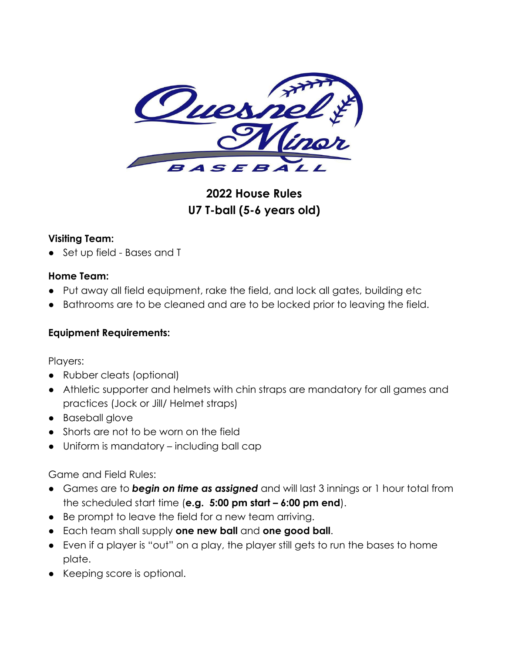

# **2022 House Rules U7 T-ball (5-6 years old)**

#### **Visiting Team:**

● Set up field - Bases and T

#### **Home Team:**

- Put away all field equipment, rake the field, and lock all gates, building etc
- Bathrooms are to be cleaned and are to be locked prior to leaving the field.

## **Equipment Requirements:**

Players:

- Rubber cleats (optional)
- Athletic supporter and helmets with chin straps are mandatory for all games and practices (Jock or Jill/ Helmet straps)
- Baseball glove
- Shorts are not to be worn on the field
- Uniform is mandatory including ball cap

Game and Field Rules:

- Games are to *begin on time as assigned* and will last 3 innings or 1 hour total from the scheduled start time (**e.g. 5:00 pm start – 6:00 pm end**).
- Be prompt to leave the field for a new team arriving.
- Each team shall supply **one new ball** and **one good ball**.
- Even if a player is "out" on a play, the player still gets to run the bases to home plate.
- Keeping score is optional.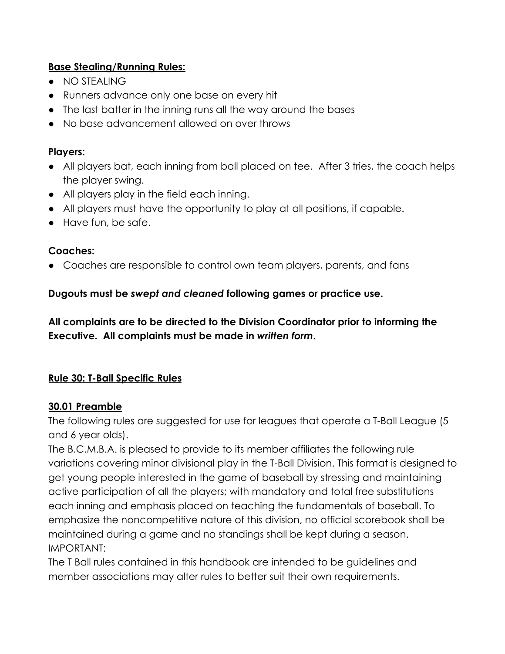#### **Base Stealing/Running Rules:**

- NO STEALING
- Runners advance only one base on every hit
- The last batter in the inning runs all the way around the bases
- No base advancement allowed on over throws

#### **Players:**

- All players bat, each inning from ball placed on tee. After 3 tries, the coach helps the player swing.
- All players play in the field each inning.
- All players must have the opportunity to play at all positions, if capable.
- Have fun, be safe.

## **Coaches:**

● Coaches are responsible to control own team players, parents, and fans

## **Dugouts must be** *swept and cleaned* **following games or practice use.**

**All complaints are to be directed to the Division Coordinator prior to informing the Executive. All complaints must be made in** *written form***.**

## **Rule 30: T-Ball Specific Rules**

## **30.01 Preamble**

The following rules are suggested for use for leagues that operate a T-Ball League (5 and 6 year olds).

The B.C.M.B.A. is pleased to provide to its member affiliates the following rule variations covering minor divisional play in the T-Ball Division. This format is designed to get young people interested in the game of baseball by stressing and maintaining active participation of all the players; with mandatory and total free substitutions each inning and emphasis placed on teaching the fundamentals of baseball. To emphasize the noncompetitive nature of this division, no official scorebook shall be maintained during a game and no standings shall be kept during a season. IMPORTANT:

The T Ball rules contained in this handbook are intended to be guidelines and member associations may alter rules to better suit their own requirements.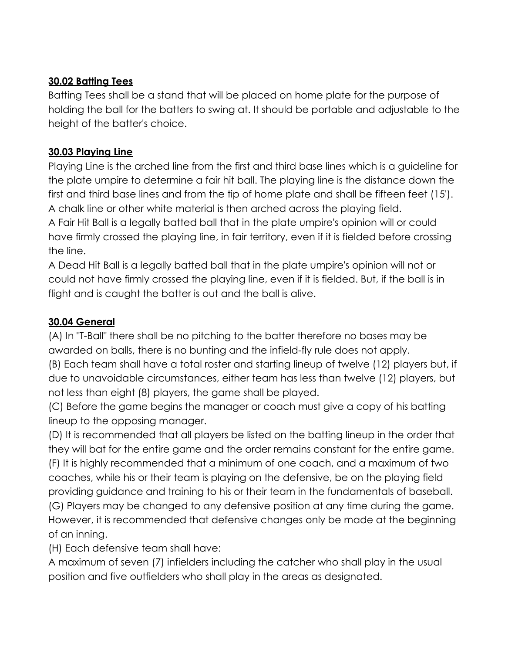## **30.02 Batting Tees**

Batting Tees shall be a stand that will be placed on home plate for the purpose of holding the ball for the batters to swing at. It should be portable and adjustable to the height of the batter's choice.

## **30.03 Playing Line**

Playing Line is the arched line from the first and third base lines which is a guideline for the plate umpire to determine a fair hit ball. The playing line is the distance down the first and third base lines and from the tip of home plate and shall be fifteen feet (15'). A chalk line or other white material is then arched across the playing field. A Fair Hit Ball is a legally batted ball that in the plate umpire's opinion will or could have firmly crossed the playing line, in fair territory, even if it is fielded before crossing the line.

A Dead Hit Ball is a legally batted ball that in the plate umpire's opinion will not or could not have firmly crossed the playing line, even if it is fielded. But, if the ball is in flight and is caught the batter is out and the ball is alive.

## **30.04 General**

(A) In "T-Ball" there shall be no pitching to the batter therefore no bases may be awarded on balls, there is no bunting and the infield-fly rule does not apply.

(B) Each team shall have a total roster and starting lineup of twelve (12) players but, if due to unavoidable circumstances, either team has less than twelve (12) players, but not less than eight (8) players, the game shall be played.

(C) Before the game begins the manager or coach must give a copy of his batting lineup to the opposing manager.

(D) It is recommended that all players be listed on the batting lineup in the order that they will bat for the entire game and the order remains constant for the entire game. (F) It is highly recommended that a minimum of one coach, and a maximum of two coaches, while his or their team is playing on the defensive, be on the playing field providing guidance and training to his or their team in the fundamentals of baseball. (G) Players may be changed to any defensive position at any time during the game. However, it is recommended that defensive changes only be made at the beginning of an inning.

(H) Each defensive team shall have:

A maximum of seven (7) infielders including the catcher who shall play in the usual position and five outfielders who shall play in the areas as designated.